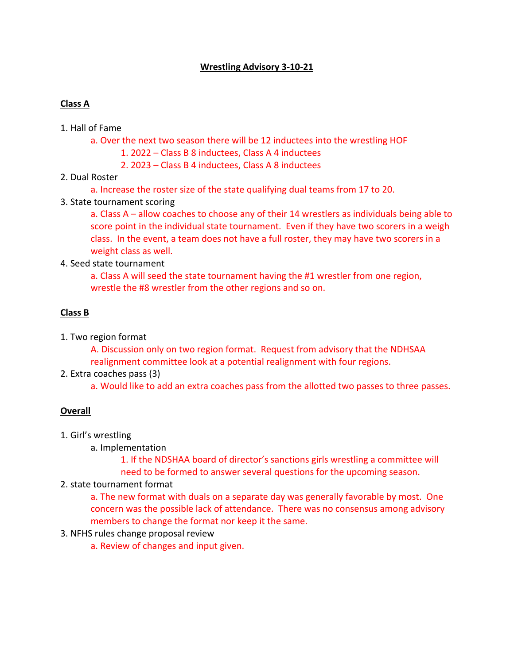## **Wrestling Advisory 3-10-21**

### **Class A**

#### 1. Hall of Fame

- a. Over the next two season there will be 12 inductees into the wrestling HOF
	- 1. 2022 Class B 8 inductees, Class A 4 inductees
	- 2. 2023 Class B 4 inductees, Class A 8 inductees
- 2. Dual Roster
	- a. Increase the roster size of the state qualifying dual teams from 17 to 20.
- 3. State tournament scoring

a. Class A – allow coaches to choose any of their 14 wrestlers as individuals being able to score point in the individual state tournament. Even if they have two scorers in a weigh class. In the event, a team does not have a full roster, they may have two scorers in a weight class as well.

4. Seed state tournament

a. Class A will seed the state tournament having the #1 wrestler from one region, wrestle the #8 wrestler from the other regions and so on.

## **Class B**

1. Two region format

A. Discussion only on two region format. Request from advisory that the NDHSAA realignment committee look at a potential realignment with four regions.

2. Extra coaches pass (3)

a. Would like to add an extra coaches pass from the allotted two passes to three passes.

# **Overall**

- 1. Girl's wrestling
	- a. Implementation

1. If the NDSHAA board of director's sanctions girls wrestling a committee will need to be formed to answer several questions for the upcoming season.

2. state tournament format

a. The new format with duals on a separate day was generally favorable by most. One concern was the possible lack of attendance. There was no consensus among advisory members to change the format nor keep it the same.

- 3. NFHS rules change proposal review
	- a. Review of changes and input given.